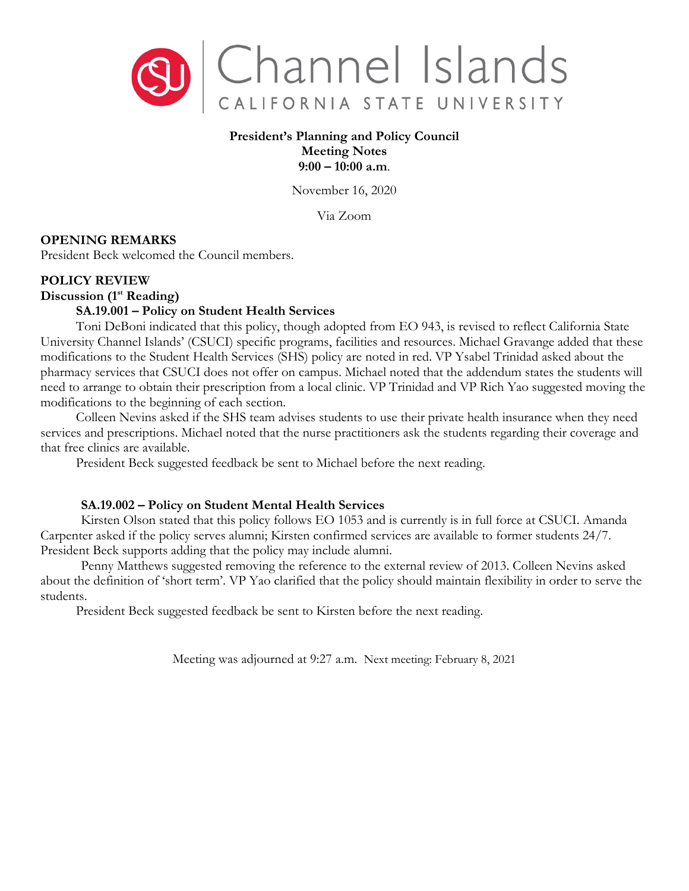

# **President's Planning and Policy Council Meeting Notes 9:00 – 10:00 a.m**.

November 16, 2020

Via Zoom

# **OPENING REMARKS**

President Beck welcomed the Council members.

## **POLICY REVIEW**

**Discussion (1st Reading)**

## **SA.19.001 – Policy on Student Health Services**

Toni DeBoni indicated that this policy, though adopted from EO 943, is revised to reflect California State University Channel Islands' (CSUCI) specific programs, facilities and resources. Michael Gravange added that these modifications to the Student Health Services (SHS) policy are noted in red. VP Ysabel Trinidad asked about the pharmacy services that CSUCI does not offer on campus. Michael noted that the addendum states the students will need to arrange to obtain their prescription from a local clinic. VP Trinidad and VP Rich Yao suggested moving the modifications to the beginning of each section.

Colleen Nevins asked if the SHS team advises students to use their private health insurance when they need services and prescriptions. Michael noted that the nurse practitioners ask the students regarding their coverage and that free clinics are available.

President Beck suggested feedback be sent to Michael before the next reading.

## **SA.19.002 – Policy on Student Mental Health Services**

Kirsten Olson stated that this policy follows EO 1053 and is currently is in full force at CSUCI. Amanda Carpenter asked if the policy serves alumni; Kirsten confirmed services are available to former students 24/7. President Beck supports adding that the policy may include alumni.

Penny Matthews suggested removing the reference to the external review of 2013. Colleen Nevins asked about the definition of 'short term'. VP Yao clarified that the policy should maintain flexibility in order to serve the students.

President Beck suggested feedback be sent to Kirsten before the next reading.

Meeting was adjourned at 9:27 a.m. Next meeting: February 8, 2021